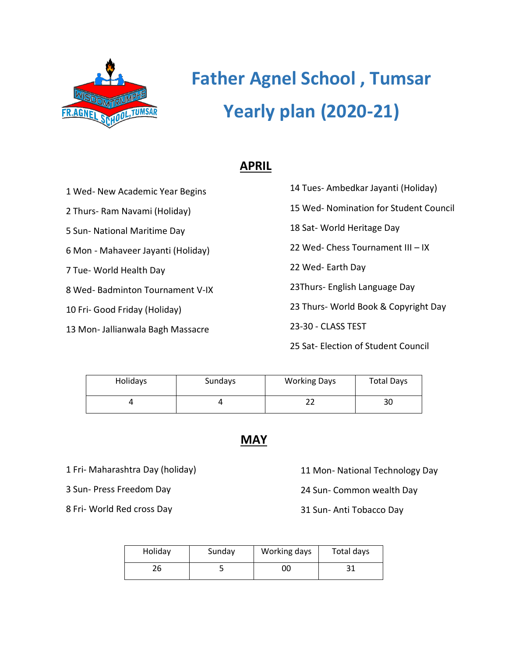

# **Father Agnel School , Tumsar Yearly plan (2020-21)**

### **APRIL**

1 Wed- New Academic Year Begins

2 Thurs- Ram Navami (Holiday)

5 Sun- National Maritime Day

6 Mon - Mahaveer Jayanti (Holiday)

7 Tue- World Health Day

8 Wed- Badminton Tournament V-IX

10 Fri- Good Friday (Holiday)

13 Mon- Jallianwala Bagh Massacre

14 Tues- Ambedkar Jayanti (Holiday) 15 Wed- Nomination for Student Council 18 Sat- World Heritage Day 22 Wed- Chess Tournament III – IX 22 Wed- Earth Day 23Thurs- English Language Day 23 Thurs- World Book & Copyright Day 23-30 - CLASS TEST

25 Sat- Election of Student Council

| Holidays | Sundays | <b>Working Days</b> | <b>Total Days</b> |
|----------|---------|---------------------|-------------------|
|          |         |                     | 30                |

**MAY**

1 Fri- Maharashtra Day (holiday)

3 Sun- Press Freedom Day

8 Fri- World Red cross Day

11 Mon- National Technology Day

24 Sun- Common wealth Day

31 Sun- Anti Tobacco Day

| Holiday | Sunday | Working days | Total days |
|---------|--------|--------------|------------|
|         |        | 00           | ⊥ ب        |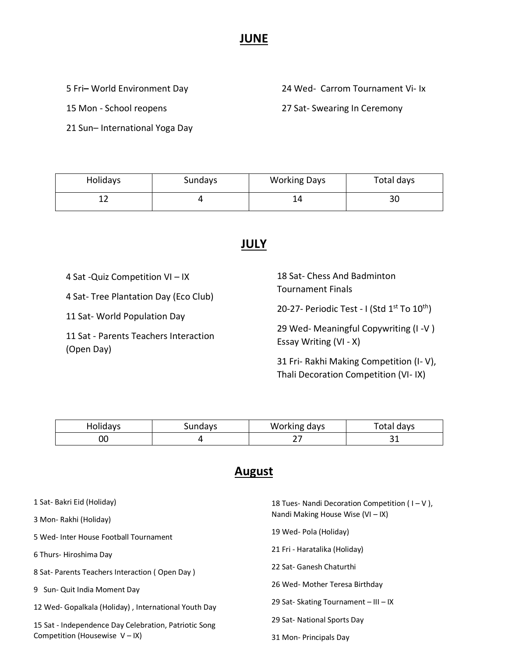#### **JUNE**

5 Fri**–** World Environment Day

15 Mon - School reopens

21 Sun– International Yoga Day

24 Wed- Carrom Tournament Vi- Ix

27 Sat- Swearing In Ceremony

| Holidays | Sundays | <b>Working Days</b> | Total days |
|----------|---------|---------------------|------------|
|          |         | 17                  | 30         |

#### **JULY**

4 Sat -Quiz Competition VI – IX

4 Sat- Tree Plantation Day (Eco Club)

11 Sat- World Population Day

11 Sat - Parents Teachers Interaction (Open Day)

| 18 Sat- Chess And Badminton |  |
|-----------------------------|--|
| Tournament Finals           |  |

20-27- Periodic Test - I (Std 1<sup>st</sup> To 10<sup>th</sup>)

29 Wed- Meaningful Copywriting (I -V ) Essay Writing (VI - X)

31 Fri- Rakhi Making Competition (I- V), Thali Decoration Competition (VI- IX)

| Folidavs | Sundays | Working days | Fotal davs |
|----------|---------|--------------|------------|
| υu       |         | -            | - -        |

## **August**

| 1 Sat- Bakri Eid (Holiday)                            | 18 Tues- Nandi Decoration Competition ( $I-V$ ). |
|-------------------------------------------------------|--------------------------------------------------|
| 3 Mon-Rakhi (Holiday)                                 | Nandi Making House Wise $(VI - IX)$              |
| 5 Wed- Inter House Football Tournament                | 19 Wed- Pola (Holiday)                           |
| 6 Thurs- Hiroshima Day                                | 21 Fri - Haratalika (Holiday)                    |
| 8 Sat- Parents Teachers Interaction (Open Day)        | 22 Sat- Ganesh Chaturthi                         |
| 9 Sun- Quit India Moment Day                          | 26 Wed- Mother Teresa Birthday                   |
| 12 Wed- Gopalkala (Holiday), International Youth Day  | 29 Sat-Skating Tournament - III - IX             |
| 15 Sat - Independence Day Celebration, Patriotic Song | 29 Sat- National Sports Day                      |
| Competition (Housewise $V - IX$ )                     | 31 Mon-Principals Day                            |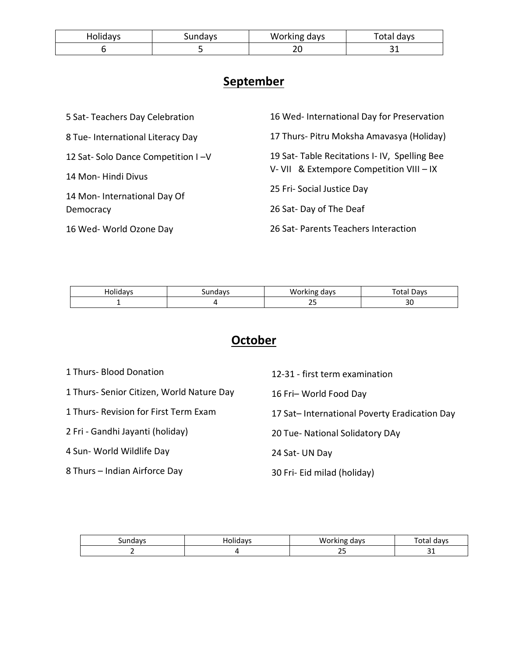| Holidays | Sundays | Working days | 'otal davs |
|----------|---------|--------------|------------|
|          |         | ົ<br>້       | --         |

## **September**

| 5 Sat-Teachers Day Celebration    | 16 Wed- International Day for Preservation  |
|-----------------------------------|---------------------------------------------|
| 8 Tue- International Literacy Day | 17 Thurs- Pitru Moksha Amavasya (Holiday)   |
| 12 Sat-Solo Dance Competition I-V | 19 Sat-Table Recitations I-IV, Spelling Bee |
| 14 Mon-Hindi Divus                | V- VII & Extempore Competition VIII - IX    |
| 14 Mon-International Day Of       | 25 Fri-Social Justice Day                   |
| Democracy                         | 26 Sat-Day of The Deaf                      |
| 16 Wed- World Ozone Day           | 26 Sat-Parents Teachers Interaction         |

|  | $\sim$<br>$\cdots$<br>w | 7117<br>ิเนเ |
|--|-------------------------|--------------|
|  | $\sim$ $\sim$<br>ت      | $\sim$<br>ںر |

## **October**

| 1 Thurs- Blood Donation                   | 12-31 - first term examination               |
|-------------------------------------------|----------------------------------------------|
| 1 Thurs- Senior Citizen, World Nature Day | 16 Fri-World Food Day                        |
| 1 Thurs- Revision for First Term Exam     | 17 Sat-International Poverty Eradication Day |
| 2 Fri - Gandhi Jayanti (holiday)          | 20 Tue- National Solidatory DAy              |
| 4 Sun- World Wildlife Day                 | 24 Sat-UN Day                                |
| 8 Thurs – Indian Airforce Day             | 30 Fri- Eid milad (holiday)                  |

|  | $\sim$<br>л<br>v |            |
|--|------------------|------------|
|  | $\sim$ $-$<br>رے | $\tilde{}$ |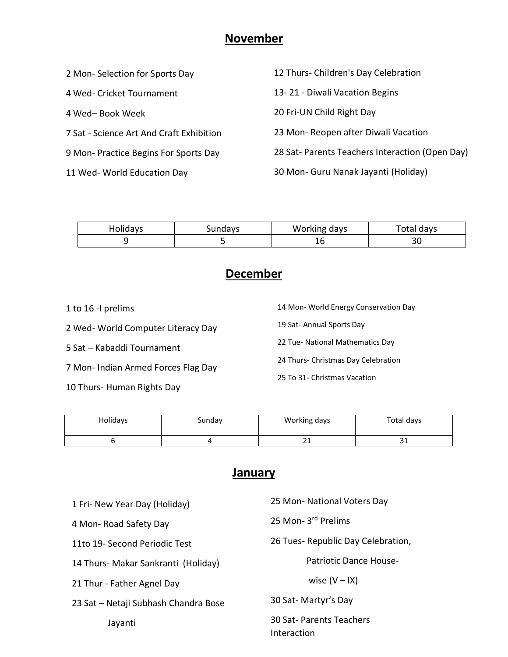#### **November**

| 2 Mon-Selection for Sports Day           | 12 Thurs- Children's Day Celebration           |
|------------------------------------------|------------------------------------------------|
| 4 Wed- Cricket Tournament                | 13-21 - Diwali Vacation Begins                 |
| 4 Wed- Book Week                         | 20 Fri-UN Child Right Day                      |
| 7 Sat - Science Art And Craft Exhibition | 23 Mon-Reopen after Diwali Vacation            |
| 9 Mon- Practice Begins For Sports Day    | 28 Sat-Parents Teachers Interaction (Open Day) |
| 11 Wed- World Education Day              | 30 Mon- Guru Nanak Jayanti (Holiday)           |
|                                          |                                                |

| Sundays | Wor<br>days<br>วrkıng | Total days |
|---------|-----------------------|------------|
|         | ᅭ                     | JU         |

## **December**

1 to 16 -I prelims

2 Wed- World Computer Literacy Day

5 Sat – Kabaddi Tournament

7 Mon- Indian Armed Forces Flag Day

10 Thurs- Human Rights Day

14 Mon- World Energy Conservation Day

19 Sat- Annual Sports Day

22 Tue- National Mathematics Day

24 Thurs- Christmas Day Celebration

25 To 31- Christmas Vacation

| Holidays | Sunday | Working days  | Total days |
|----------|--------|---------------|------------|
|          |        | <b>.</b><br>ᅀ | --         |

## **January**

| 1 Fri- New Year Day (Holiday)        | 25 Mon- National Voters Day            |  |
|--------------------------------------|----------------------------------------|--|
| 4 Mon-Road Safety Day                | 25 Mon- 3rd Prelims                    |  |
| 11to 19- Second Periodic Test        | 26 Tues-Republic Day Celebration,      |  |
| 14 Thurs- Makar Sankranti (Holiday)  | Patriotic Dance House-                 |  |
| 21 Thur - Father Agnel Day           | wise $(V - IX)$                        |  |
| 23 Sat - Netaji Subhash Chandra Bose | 30 Sat-Martyr's Day                    |  |
| Jayanti                              | 30 Sat-Parents Teachers<br>Interaction |  |